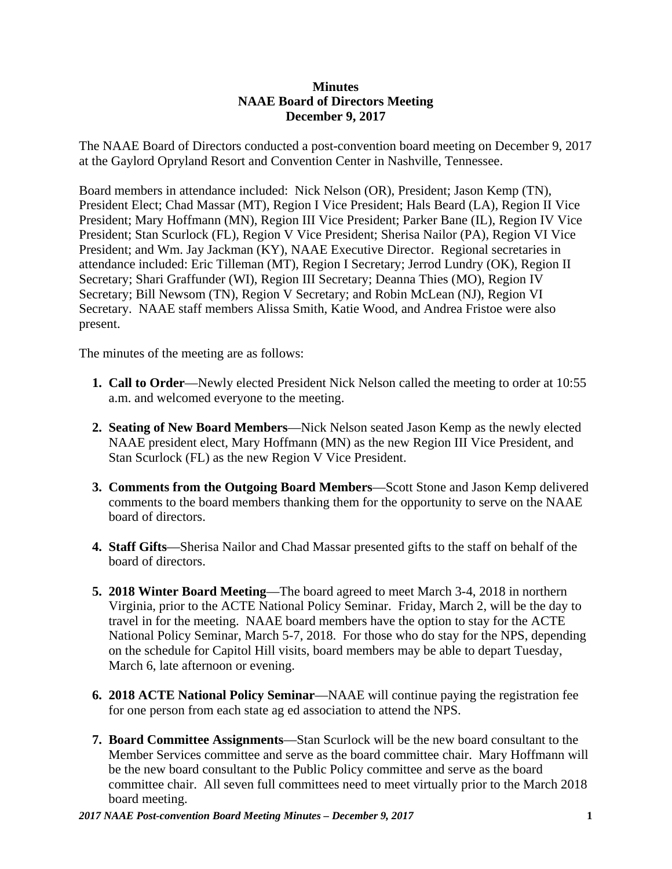## **Minutes NAAE Board of Directors Meeting December 9, 2017**

The NAAE Board of Directors conducted a post-convention board meeting on December 9, 2017 at the Gaylord Opryland Resort and Convention Center in Nashville, Tennessee.

Board members in attendance included: Nick Nelson (OR), President; Jason Kemp (TN), President Elect; Chad Massar (MT), Region I Vice President; Hals Beard (LA), Region II Vice President; Mary Hoffmann (MN), Region III Vice President; Parker Bane (IL), Region IV Vice President; Stan Scurlock (FL), Region V Vice President; Sherisa Nailor (PA), Region VI Vice President; and Wm. Jay Jackman (KY), NAAE Executive Director. Regional secretaries in attendance included: Eric Tilleman (MT), Region I Secretary; Jerrod Lundry (OK), Region II Secretary; Shari Graffunder (WI), Region III Secretary; Deanna Thies (MO), Region IV Secretary; Bill Newsom (TN), Region V Secretary; and Robin McLean (NJ), Region VI Secretary. NAAE staff members Alissa Smith, Katie Wood, and Andrea Fristoe were also present.

The minutes of the meeting are as follows:

- **1. Call to Order**—Newly elected President Nick Nelson called the meeting to order at 10:55 a.m. and welcomed everyone to the meeting.
- **2. Seating of New Board Members**—Nick Nelson seated Jason Kemp as the newly elected NAAE president elect, Mary Hoffmann (MN) as the new Region III Vice President, and Stan Scurlock (FL) as the new Region V Vice President.
- **3. Comments from the Outgoing Board Members**—Scott Stone and Jason Kemp delivered comments to the board members thanking them for the opportunity to serve on the NAAE board of directors.
- **4. Staff Gifts**—Sherisa Nailor and Chad Massar presented gifts to the staff on behalf of the board of directors.
- **5. 2018 Winter Board Meeting**—The board agreed to meet March 3-4, 2018 in northern Virginia, prior to the ACTE National Policy Seminar. Friday, March 2, will be the day to travel in for the meeting. NAAE board members have the option to stay for the ACTE National Policy Seminar, March 5-7, 2018. For those who do stay for the NPS, depending on the schedule for Capitol Hill visits, board members may be able to depart Tuesday, March 6, late afternoon or evening.
- **6. 2018 ACTE National Policy Seminar**—NAAE will continue paying the registration fee for one person from each state ag ed association to attend the NPS.
- **7. Board Committee Assignments**—Stan Scurlock will be the new board consultant to the Member Services committee and serve as the board committee chair. Mary Hoffmann will be the new board consultant to the Public Policy committee and serve as the board committee chair. All seven full committees need to meet virtually prior to the March 2018 board meeting.